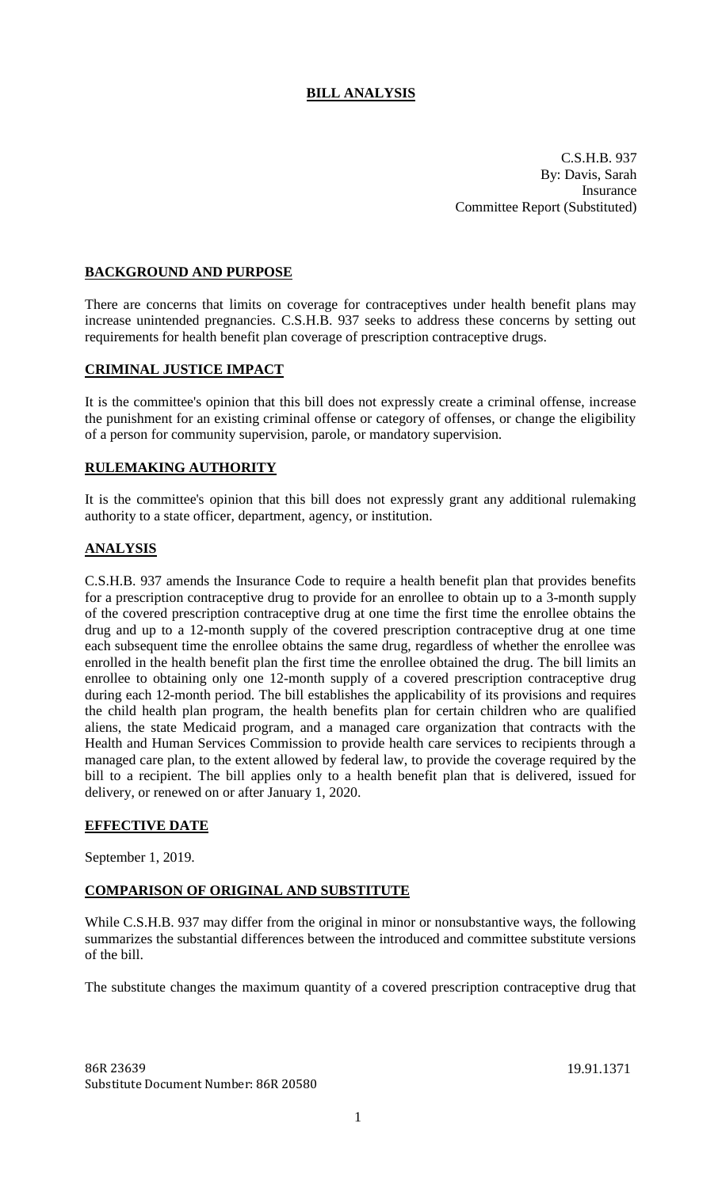# **BILL ANALYSIS**

C.S.H.B. 937 By: Davis, Sarah Insurance Committee Report (Substituted)

### **BACKGROUND AND PURPOSE**

There are concerns that limits on coverage for contraceptives under health benefit plans may increase unintended pregnancies. C.S.H.B. 937 seeks to address these concerns by setting out requirements for health benefit plan coverage of prescription contraceptive drugs.

#### **CRIMINAL JUSTICE IMPACT**

It is the committee's opinion that this bill does not expressly create a criminal offense, increase the punishment for an existing criminal offense or category of offenses, or change the eligibility of a person for community supervision, parole, or mandatory supervision.

#### **RULEMAKING AUTHORITY**

It is the committee's opinion that this bill does not expressly grant any additional rulemaking authority to a state officer, department, agency, or institution.

## **ANALYSIS**

C.S.H.B. 937 amends the Insurance Code to require a health benefit plan that provides benefits for a prescription contraceptive drug to provide for an enrollee to obtain up to a 3-month supply of the covered prescription contraceptive drug at one time the first time the enrollee obtains the drug and up to a 12-month supply of the covered prescription contraceptive drug at one time each subsequent time the enrollee obtains the same drug, regardless of whether the enrollee was enrolled in the health benefit plan the first time the enrollee obtained the drug. The bill limits an enrollee to obtaining only one 12-month supply of a covered prescription contraceptive drug during each 12-month period. The bill establishes the applicability of its provisions and requires the child health plan program, the health benefits plan for certain children who are qualified aliens, the state Medicaid program, and a managed care organization that contracts with the Health and Human Services Commission to provide health care services to recipients through a managed care plan, to the extent allowed by federal law, to provide the coverage required by the bill to a recipient. The bill applies only to a health benefit plan that is delivered, issued for delivery, or renewed on or after January 1, 2020.

#### **EFFECTIVE DATE**

September 1, 2019.

#### **COMPARISON OF ORIGINAL AND SUBSTITUTE**

While C.S.H.B. 937 may differ from the original in minor or nonsubstantive ways, the following summarizes the substantial differences between the introduced and committee substitute versions of the bill.

The substitute changes the maximum quantity of a covered prescription contraceptive drug that